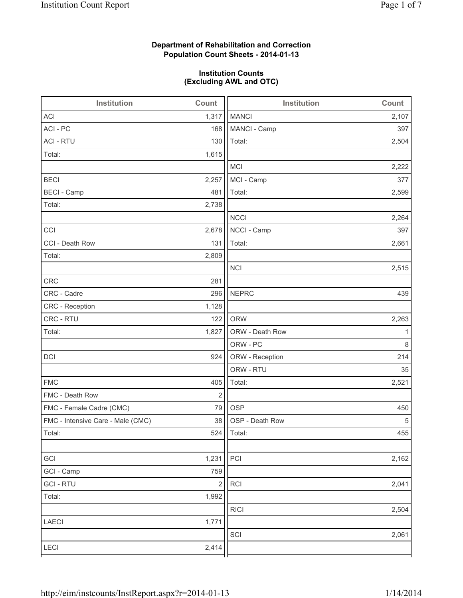# **Department of Rehabilitation and Correction Population Count Sheets - 2014-01-13**

# **Institution Counts (Excluding AWL and OTC)**

| Institution                       | Count      | <b>Institution</b> | Count |
|-----------------------------------|------------|--------------------|-------|
| <b>ACI</b>                        | 1,317      | <b>MANCI</b>       | 2,107 |
| ACI - PC                          | 168        | MANCI - Camp       | 397   |
| <b>ACI - RTU</b>                  | 130        | Total:             | 2,504 |
| Total:                            | 1,615      |                    |       |
|                                   |            | <b>MCI</b>         | 2,222 |
| <b>BECI</b>                       | 2,257      | MCI - Camp         | 377   |
| <b>BECI - Camp</b>                | 481        | Total:             | 2,599 |
| Total:                            | 2,738      |                    |       |
|                                   |            | <b>NCCI</b>        | 2,264 |
| CCI                               | 2,678      | NCCI - Camp        | 397   |
| CCI - Death Row                   | 131        | Total:             | 2,661 |
| Total:                            | 2,809      |                    |       |
|                                   |            | <b>NCI</b>         | 2,515 |
| <b>CRC</b>                        | 281        |                    |       |
| CRC - Cadre                       | 296        | <b>NEPRC</b>       | 439   |
| CRC - Reception                   | 1,128      |                    |       |
| CRC - RTU                         | 122        | <b>ORW</b>         | 2,263 |
| Total:                            | 1,827      | ORW - Death Row    | 1     |
|                                   |            | ORW - PC           | 8     |
| DCI                               | 924        | ORW - Reception    | 214   |
|                                   |            | ORW - RTU          | 35    |
| <b>FMC</b>                        | 405        | Total:             | 2,521 |
| FMC - Death Row                   | $\sqrt{2}$ |                    |       |
| FMC - Female Cadre (CMC)          | 79         | <b>OSP</b>         | 450   |
| FMC - Intensive Care - Male (CMC) | 38         | OSP - Death Row    | 5     |
| Total:                            |            | 524   Total:       | 455   |
|                                   |            |                    |       |
| GCI                               | 1,231      | PCI                | 2,162 |
| GCI - Camp                        | 759        |                    |       |
| <b>GCI-RTU</b>                    | $\sqrt{2}$ | RCI                | 2,041 |
| Total:                            | 1,992      |                    |       |
|                                   |            | <b>RICI</b>        | 2,504 |
| LAECI                             | 1,771      |                    |       |
|                                   |            | SCI                | 2,061 |
| LECI                              | 2,414      |                    |       |
|                                   |            |                    |       |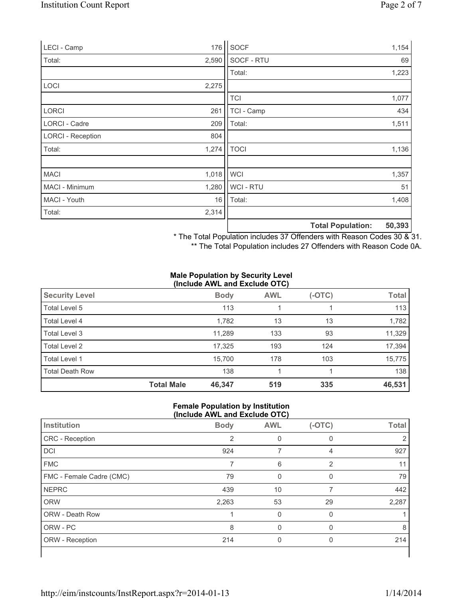| LECI - Camp              | 176   | SOCF        |                          | 1,154  |
|--------------------------|-------|-------------|--------------------------|--------|
| Total:                   | 2,590 | SOCF - RTU  |                          | 69     |
|                          |       | Total:      |                          | 1,223  |
| <b>LOCI</b>              | 2,275 |             |                          |        |
|                          |       | <b>TCI</b>  |                          | 1,077  |
| <b>LORCI</b>             | 261   | TCI - Camp  |                          | 434    |
| LORCI - Cadre            | 209   | Total:      |                          | 1,511  |
| <b>LORCI - Reception</b> | 804   |             |                          |        |
| Total:                   | 1,274 | <b>TOCI</b> |                          | 1,136  |
|                          |       |             |                          |        |
| <b>MACI</b>              | 1,018 | <b>WCI</b>  |                          | 1,357  |
| MACI - Minimum           | 1,280 | WCI - RTU   |                          | 51     |
| MACI - Youth             | 16    | Total:      |                          | 1,408  |
| Total:                   | 2,314 |             |                          |        |
|                          |       |             | <b>Total Population:</b> | 50,393 |

\* The Total Population includes 37 Offenders with Reason Codes 30 & 31.

\*\* The Total Population includes 27 Offenders with Reason Code 0A.

#### **Male Population by Security Level (Include AWL and Exclude OTC)**

| <b>Security Level</b>  |                   | <b>Body</b> | <b>AWL</b> | $(-OTC)$ | <b>Total</b> |  |
|------------------------|-------------------|-------------|------------|----------|--------------|--|
| Total Level 5          |                   | 113         |            |          | 113          |  |
| Total Level 4          |                   | 1,782       | 13         | 13       | 1,782        |  |
| Total Level 3          |                   | 11,289      | 133        | 93       | 11,329       |  |
| Total Level 2          |                   | 17,325      | 193        | 124      | 17,394       |  |
| Total Level 1          |                   | 15,700      | 178        | 103      | 15,775       |  |
| <b>Total Death Row</b> |                   | 138         |            |          | 138          |  |
|                        | <b>Total Male</b> | 46,347      | 519        | 335      | 46,531       |  |

#### **Female Population by Institution (Include AWL and Exclude OTC)**

| Institution              | <b>Body</b>    | <b>AWL</b> | $(-OTC)$       | <b>Total</b> |
|--------------------------|----------------|------------|----------------|--------------|
| CRC - Reception          | $\overline{2}$ | 0          | $\mathbf{0}$   |              |
| DCI                      | 924            |            | 4              | 927          |
| <b>FMC</b>               |                | 6          | $\overline{2}$ | 11           |
| FMC - Female Cadre (CMC) | 79             | $\Omega$   | $\mathbf{0}$   | 79           |
| <b>NEPRC</b>             | 439            | 10         | 7              | 442          |
| <b>ORW</b>               | 2,263          | 53         | 29             | 2,287        |
| <b>ORW - Death Row</b>   |                | $\Omega$   | $\Omega$       |              |
| ORW - PC                 | 8              |            |                | 8            |
| ORW - Reception          | 214            | 0          | 0              | 214          |
|                          |                |            |                |              |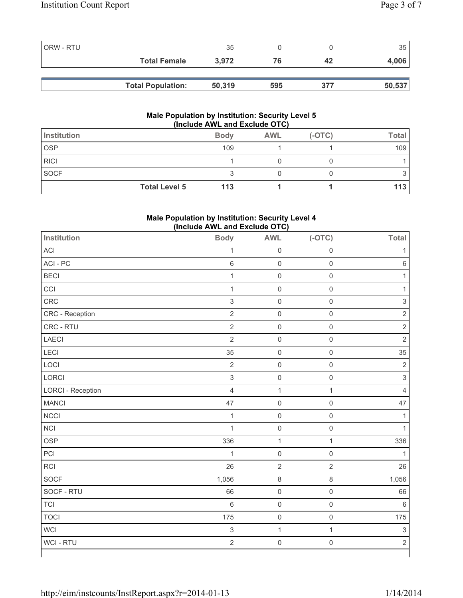| ORW - RTU |                          | 35     |     |     | 35 <sup>1</sup> |
|-----------|--------------------------|--------|-----|-----|-----------------|
|           | <b>Total Female</b>      | 3.972  | 76  | 42  | 4,006           |
|           |                          |        |     |     |                 |
|           | <b>Total Population:</b> | 50,319 | 595 | 377 | 50,537          |

## **Male Population by Institution: Security Level 5 (Include AWL and Exclude OTC)**

| Institution          | <b>Body</b> | <b>AWL</b> | $(-OTC)$ | <b>Total</b> |
|----------------------|-------------|------------|----------|--------------|
| <b>OSP</b>           | 109         |            |          | 109          |
| <b>RICI</b>          |             |            |          |              |
| <b>SOCF</b>          |             |            |          |              |
| <b>Total Level 5</b> | 113         |            |          | 113          |

# **Male Population by Institution: Security Level 4 (Include AWL and Exclude OTC)**

| <b>Institution</b>       | <b>Body</b>               | <b>AWL</b>          | $(-OTC)$            | Total                     |
|--------------------------|---------------------------|---------------------|---------------------|---------------------------|
| ACI                      | $\mathbf{1}$              | $\mathbf 0$         | $\mathsf{O}\xspace$ | $\mathbf{1}$              |
| ACI-PC                   | $\,$ 6 $\,$               | $\mathsf{O}\xspace$ | $\mathsf{O}\xspace$ | $\,6\,$                   |
| <b>BECI</b>              | $\mathbf{1}$              | $\mathsf{O}\xspace$ | $\mathsf{O}\xspace$ | $\mathbf{1}$              |
| CCI                      | $\mathbf{1}$              | $\mathbf 0$         | $\mathsf 0$         | $\mathbf{1}$              |
| CRC                      | $\ensuremath{\mathsf{3}}$ | $\mathsf{O}\xspace$ | $\mathsf{O}\xspace$ | $\ensuremath{\mathsf{3}}$ |
| CRC - Reception          | $\sqrt{2}$                | $\mathsf{O}\xspace$ | $\mathsf{O}\xspace$ | $\overline{2}$            |
| CRC - RTU                | $\sqrt{2}$                | $\mathsf{O}\xspace$ | $\mathsf{O}\xspace$ | $\overline{2}$            |
| LAECI                    | $\overline{2}$            | $\mathsf{O}\xspace$ | $\mathsf{O}\xspace$ | $\overline{2}$            |
| <b>LECI</b>              | 35                        | $\mathsf{O}\xspace$ | $\mathsf{O}\xspace$ | 35                        |
| LOCI                     | $\sqrt{2}$                | $\mathbf 0$         | $\mathsf{O}\xspace$ | $\overline{2}$            |
| LORCI                    | $\,$ 3 $\,$               | $\mathsf{O}\xspace$ | $\mathsf{O}\xspace$ | $\mathbf{3}$              |
| <b>LORCI - Reception</b> | $\overline{4}$            | $\mathbf 1$         | $\mathbf{1}$        | $\overline{4}$            |
| <b>MANCI</b>             | 47                        | $\mathsf{O}\xspace$ | $\mathsf{O}\xspace$ | 47                        |
| <b>NCCI</b>              | $\mathbf{1}$              | $\mathbf 0$         | $\mathsf{O}\xspace$ | $\mathbf{1}$              |
| <b>NCI</b>               | $\mathbf 1$               | $\mathsf{O}\xspace$ | $\mathsf{O}\xspace$ | $\mathbf{1}$              |
| <b>OSP</b>               | 336                       | $\mathbf{1}$        | $\mathbf{1}$        | 336                       |
| PCI                      | $\mathbf{1}$              | $\mathsf 0$         | $\mathsf 0$         | $\mathbf{1}$              |
| RCI                      | 26                        | $\sqrt{2}$          | $\overline{2}$      | 26                        |
| SOCF                     | 1,056                     | $\,8\,$             | $\,8\,$             | 1,056                     |
| SOCF - RTU               | 66                        | $\mathbf 0$         | $\mathsf{O}\xspace$ | 66                        |
| <b>TCI</b>               | $\,6\,$                   | $\mathsf{O}\xspace$ | $\mathsf{O}\xspace$ | $\,6$                     |
| <b>TOCI</b>              | 175                       | $\mathsf{O}\xspace$ | $\mathsf{O}\xspace$ | 175                       |
| <b>WCI</b>               | $\ensuremath{\mathsf{3}}$ | $\mathbf 1$         | $\mathbf{1}$        | $\ensuremath{\mathsf{3}}$ |
| WCI - RTU                | $\sqrt{2}$                | $\mathsf 0$         | $\mathsf{O}\xspace$ | $\overline{c}$            |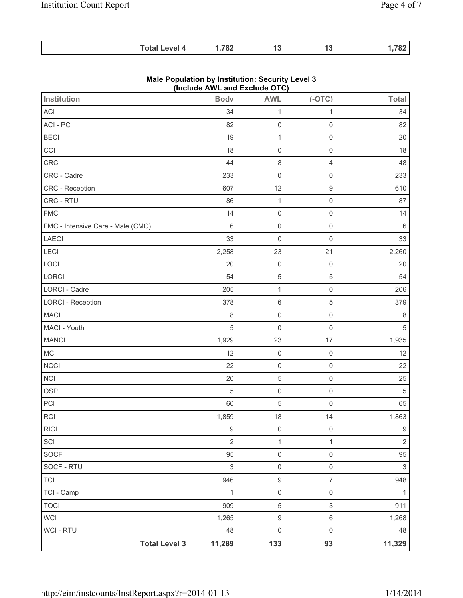$\sim$ 

| <b>Total Level 4</b> | 1,782 |  | 1,782 |
|----------------------|-------|--|-------|
|                      |       |  |       |

|                                   | (Include AWL and Exclude OTC) |                     |                           |              |
|-----------------------------------|-------------------------------|---------------------|---------------------------|--------------|
| Institution                       | <b>Body</b>                   | <b>AWL</b>          | $(-OTC)$                  | <b>Total</b> |
| ACI                               | 34                            | $\mathbf{1}$        | $\mathbf{1}$              | 34           |
| ACI - PC                          | 82                            | $\mathsf{O}\xspace$ | $\mathsf{O}\xspace$       | 82           |
| <b>BECI</b>                       | 19                            | 1                   | $\mathsf{O}\xspace$       | 20           |
| CCI                               | 18                            | $\mathsf{O}\xspace$ | $\mathsf{O}\xspace$       | 18           |
| CRC                               | 44                            | 8                   | $\overline{4}$            | 48           |
| CRC - Cadre                       | 233                           | $\mathsf{O}\xspace$ | $\mathsf{O}\xspace$       | 233          |
| CRC - Reception                   | 607                           | 12                  | $\boldsymbol{9}$          | 610          |
| CRC - RTU                         | 86                            | $\mathbf{1}$        | $\mathsf{O}\xspace$       | 87           |
| <b>FMC</b>                        | 14                            | $\mathsf 0$         | $\mathsf 0$               | 14           |
| FMC - Intensive Care - Male (CMC) | 6                             | $\boldsymbol{0}$    | $\mathbf 0$               | 6            |
| LAECI                             | 33                            | $\mathsf{O}\xspace$ | $\mathsf{O}\xspace$       | 33           |
| LECI                              | 2,258                         | 23                  | 21                        | 2,260        |
| LOCI                              | 20                            | $\mathsf 0$         | $\mathsf{O}\xspace$       | 20           |
| LORCI                             | 54                            | $\mathbf 5$         | $\mathbf 5$               | 54           |
| <b>LORCI - Cadre</b>              | 205                           | $\mathbf 1$         | $\mathsf{O}\xspace$       | 206          |
| <b>LORCI - Reception</b>          | 378                           | $\,6\,$             | 5                         | 379          |
| <b>MACI</b>                       | 8                             | $\mathbf 0$         | $\mathsf{O}\xspace$       | 8            |
| MACI - Youth                      | 5                             | $\boldsymbol{0}$    | $\mathsf{O}\xspace$       | 5            |
| <b>MANCI</b>                      | 1,929                         | 23                  | 17                        | 1,935        |
| <b>MCI</b>                        | 12                            | $\boldsymbol{0}$    | $\mathsf{O}\xspace$       | 12           |
| <b>NCCI</b>                       | 22                            | $\mathsf{O}\xspace$ | $\mathsf 0$               | 22           |
| <b>NCI</b>                        | 20                            | $\mathbf 5$         | $\mathsf{O}\xspace$       | 25           |
| <b>OSP</b>                        | 5                             | $\mathsf{O}\xspace$ | $\mathsf{O}\xspace$       | 5            |
| PCI                               | 60                            | $\mathbf 5$         | $\mathsf{O}\xspace$       | 65           |
| <b>RCI</b>                        | 1,859                         | 18                  | 14                        | 1,863        |
| R C                               | 9                             | $\mathsf 0$         | $\mathbf 0$               | 9            |
| SCI                               | $\mathbf 2$                   | 1                   | 1                         | $\mathbf 2$  |
| <b>SOCF</b>                       | 95                            | $\mathsf{O}\xspace$ | $\mathsf{O}\xspace$       | 95           |
| SOCF - RTU                        | $\ensuremath{\mathsf{3}}$     | 0                   | $\mathsf{O}\xspace$       | 3            |
| <b>TCI</b>                        | 946                           | $\boldsymbol{9}$    | $\overline{7}$            | 948          |
| TCI - Camp                        | 1                             | $\mathsf{O}\xspace$ | $\mathsf{O}\xspace$       | 1            |
| <b>TOCI</b>                       | 909                           | $\mathbf 5$         | $\ensuremath{\mathsf{3}}$ | 911          |
| <b>WCI</b>                        | 1,265                         | $\boldsymbol{9}$    | $\,6\,$                   | 1,268        |
| WCI - RTU                         | 48                            | 0                   | $\mathsf{O}\xspace$       | 48           |
| <b>Total Level 3</b>              | 11,289                        | 133                 | 93                        | 11,329       |

# **Male Population by Institution: Security Level 3**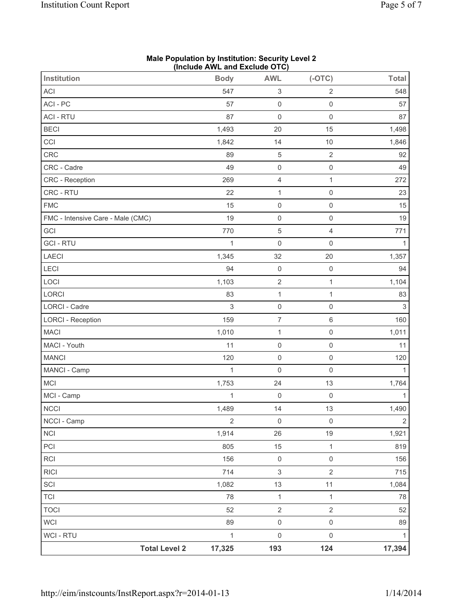|                                   | $(III)$ and $III$ and $I$ and $II$ and $II$ |                           |                     |                |
|-----------------------------------|---------------------------------------------|---------------------------|---------------------|----------------|
| <b>Institution</b>                | <b>Body</b>                                 | <b>AWL</b>                | $(-OTC)$            | <b>Total</b>   |
| ACI                               | 547                                         | $\ensuremath{\mathsf{3}}$ | $\overline{2}$      | 548            |
| ACI - PC                          | 57                                          | $\mathsf 0$               | $\mathsf{O}\xspace$ | 57             |
| <b>ACI - RTU</b>                  | 87                                          | $\mathsf{O}\xspace$       | $\mathsf{O}\xspace$ | 87             |
| <b>BECI</b>                       | 1,493                                       | 20                        | 15                  | 1,498          |
| CCI                               | 1,842                                       | 14                        | $10$                | 1,846          |
| CRC                               | 89                                          | $\,$ 5 $\,$               | $\sqrt{2}$          | 92             |
| CRC - Cadre                       | 49                                          | $\mathsf 0$               | $\mathsf 0$         | 49             |
| CRC - Reception                   | 269                                         | $\overline{4}$            | $\mathbf{1}$        | 272            |
| CRC - RTU                         | 22                                          | $\mathbf 1$               | $\mathsf 0$         | 23             |
| <b>FMC</b>                        | 15                                          | $\mathsf 0$               | $\mathsf{O}\xspace$ | 15             |
| FMC - Intensive Care - Male (CMC) | 19                                          | $\mathsf 0$               | $\mathbf 0$         | 19             |
| GCI                               | 770                                         | $\,$ 5 $\,$               | $\overline{4}$      | 771            |
| <b>GCI-RTU</b>                    | 1                                           | $\mathsf{O}\xspace$       | $\mathsf{O}\xspace$ | $\mathbf{1}$   |
| LAECI                             | 1,345                                       | 32                        | 20                  | 1,357          |
| LECI                              | 94                                          | $\mathsf 0$               | $\mathbf 0$         | 94             |
| LOCI                              | 1,103                                       | $\sqrt{2}$                | 1                   | 1,104          |
| LORCI                             | 83                                          | $\mathbf 1$               | $\mathbf 1$         | 83             |
| LORCI - Cadre                     | $\sqrt{3}$                                  | $\mathsf 0$               | $\mathsf{O}\xspace$ | $\mathbf{3}$   |
| <b>LORCI - Reception</b>          | 159                                         | $\overline{\mathcal{I}}$  | 6                   | 160            |
| <b>MACI</b>                       | 1,010                                       | $\mathbf{1}$              | $\mathsf{O}\xspace$ | 1,011          |
| MACI - Youth                      | 11                                          | $\mathsf{O}\xspace$       | $\mathbf 0$         | 11             |
| <b>MANCI</b>                      | 120                                         | $\mathsf 0$               | $\mathsf{O}\xspace$ | 120            |
| MANCI - Camp                      | 1                                           | $\mathsf{O}\xspace$       | $\mathsf{O}\xspace$ | $\mathbf{1}$   |
| MCI                               | 1,753                                       | 24                        | 13                  | 1,764          |
| MCI - Camp                        | $\mathbf 1$                                 | $\mathsf{O}\xspace$       | $\mathsf 0$         | $\mathbf{1}$   |
| <b>NCCI</b>                       | 1,489                                       | 14                        | 13                  | 1,490          |
| NCCI - Camp                       | $\overline{2}$                              | $\mathsf 0$               | $\mathsf{O}\xspace$ | $\overline{2}$ |
| $\sf NCI$                         | 1,914                                       | 26                        | $19$                | 1,921          |
| PCI                               | 805                                         | 15                        | $\mathbf{1}$        | 819            |
| RCI                               | 156                                         | $\mathsf{O}\xspace$       | $\mathsf{O}\xspace$ | 156            |
| <b>RICI</b>                       | 714                                         | $\ensuremath{\mathsf{3}}$ | $\overline{2}$      | 715            |
| SCI                               | 1,082                                       | 13                        | 11                  | 1,084          |
| <b>TCI</b>                        | 78                                          | $\mathbf{1}$              | $\mathbf{1}$        | 78             |
| <b>TOCI</b>                       | 52                                          | $\sqrt{2}$                | $\overline{2}$      | 52             |
| <b>WCI</b>                        | 89                                          | $\mathsf{O}\xspace$       | $\mathsf{O}\xspace$ | 89             |
| <b>WCI - RTU</b>                  | $\mathbf{1}$                                | $\mathsf{O}\xspace$       | $\mathsf{O}\xspace$ | $\mathbf{1}$   |
| <b>Total Level 2</b>              | 17,325                                      | 193                       | 124                 | 17,394         |

#### **Male Population by Institution: Security Level 2 (Include AWL and Exclude OTC)**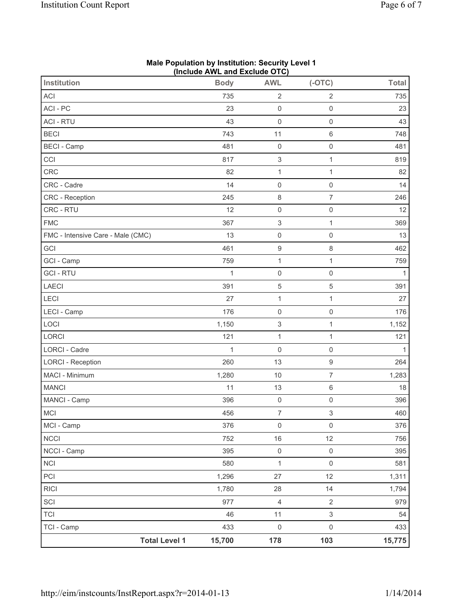| <b>Institution</b>                | (include AWL and Exclude OTC)<br><b>Body</b> | <b>AWL</b>                | $(-OTC)$                  | <b>Total</b> |
|-----------------------------------|----------------------------------------------|---------------------------|---------------------------|--------------|
| <b>ACI</b>                        | 735                                          | $\overline{2}$            | $\overline{2}$            | 735          |
| ACI-PC                            | 23                                           | $\mathsf{O}\xspace$       | $\mathsf{O}\xspace$       | 23           |
| <b>ACI - RTU</b>                  | 43                                           | $\mathsf{O}\xspace$       | $\mathsf{O}\xspace$       | 43           |
| <b>BECI</b>                       | 743                                          | 11                        | $\,6\,$                   | 748          |
| <b>BECI</b> - Camp                | 481                                          | $\mathsf{O}\xspace$       | $\mathsf{O}\xspace$       | 481          |
| CCI                               | 817                                          | $\ensuremath{\mathsf{3}}$ | 1                         | 819          |
| CRC                               | 82                                           | $\mathbf{1}$              | $\mathbf{1}$              | 82           |
| CRC - Cadre                       | 14                                           | $\mathsf 0$               | $\mathsf{O}\xspace$       | 14           |
| CRC - Reception                   | 245                                          | $\,8\,$                   | $\overline{7}$            | 246          |
| CRC - RTU                         | 12                                           | $\mathsf{O}\xspace$       | $\mathsf{O}\xspace$       | 12           |
| <b>FMC</b>                        | 367                                          | $\ensuremath{\mathsf{3}}$ | $\mathbf{1}$              | 369          |
| FMC - Intensive Care - Male (CMC) | 13                                           | $\mathsf{O}\xspace$       | $\mathbf 0$               | 13           |
| GCI                               | 461                                          | $\boldsymbol{9}$          | $\,8\,$                   | 462          |
| GCI - Camp                        | 759                                          | $\mathbf{1}$              | $\mathbf{1}$              | 759          |
| <b>GCI-RTU</b>                    | 1                                            | $\mathsf{O}\xspace$       | $\mathsf{O}\xspace$       | $\mathbf{1}$ |
| LAECI                             | 391                                          | $\,$ 5 $\,$               | $\sqrt{5}$                | 391          |
| LECI                              | 27                                           | $\mathbf{1}$              | $\mathbf{1}$              | 27           |
| LECI - Camp                       | 176                                          | $\mathsf{O}\xspace$       | $\mathsf{O}\xspace$       | 176          |
| LOCI                              | 1,150                                        | $\ensuremath{\mathsf{3}}$ | $\mathbf{1}$              | 1,152        |
| LORCI                             | 121                                          | $\mathbf{1}$              | 1                         | 121          |
| <b>LORCI - Cadre</b>              | 1                                            | $\mathsf{O}\xspace$       | $\mathsf{O}\xspace$       | $\mathbf{1}$ |
| <b>LORCI - Reception</b>          | 260                                          | 13                        | $\boldsymbol{9}$          | 264          |
| MACI - Minimum                    | 1,280                                        | 10                        | $\overline{7}$            | 1,283        |
| <b>MANCI</b>                      | 11                                           | 13                        | 6                         | 18           |
| MANCI - Camp                      | 396                                          | $\mathsf{O}\xspace$       | $\mathsf{O}\xspace$       | 396          |
| MCI                               | 456                                          | $\overline{7}$            | $\ensuremath{\mathsf{3}}$ | 460          |
| MCI - Camp                        | 376                                          | $\mathsf{O}\xspace$       | $\mathsf{O}\xspace$       | 376          |
| <b>NCCI</b>                       | 752                                          | 16                        | 12                        | 756          |
| NCCI - Camp                       | 395                                          | $\mathsf{O}\xspace$       | $\mathsf 0$               | 395          |
| NCI                               | 580                                          | $\mathbf{1}$              | $\mathsf{O}\xspace$       | 581          |
| PCI                               | 1,296                                        | 27                        | 12                        | 1,311        |
| <b>RICI</b>                       | 1,780                                        | 28                        | 14                        | 1,794        |
| SCI                               | 977                                          | $\overline{4}$            | $\overline{2}$            | 979          |
| <b>TCI</b>                        | 46                                           | 11                        | $\mathfrak{S}$            | 54           |
| TCI - Camp                        | 433                                          | $\mathsf{O}\xspace$       | $\mathsf{O}\xspace$       | 433          |
| <b>Total Level 1</b>              | 15,700                                       | 178                       | 103                       | 15,775       |

## **Male Population by Institution: Security Level 1 (Include AWL and Exclude OTC)**